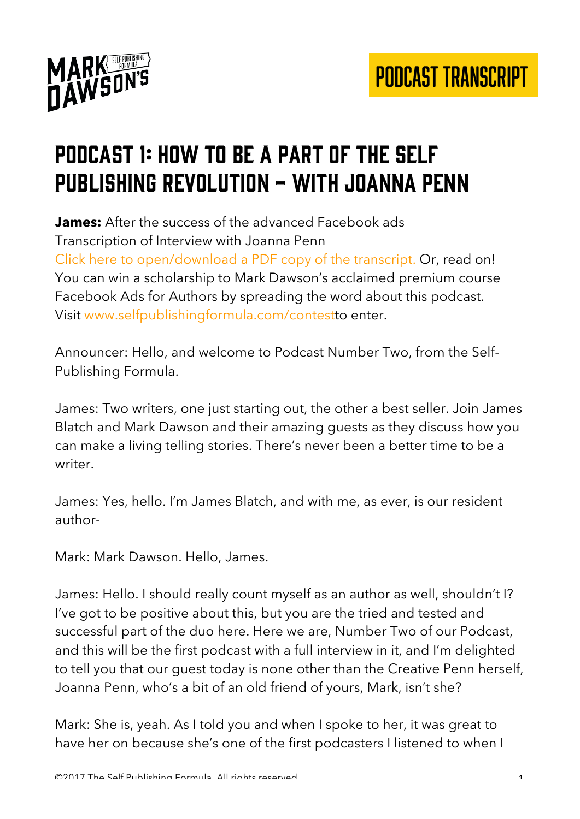

### Podcast 1: how to be a part of the self publishing revolution - with Joanna Penn

**James:** After the success of the advanced Facebook ads Transcription of Interview with Joanna Penn Click here to open/download a PDF copy of the transcript. Or, read on! You can win a scholarship to Mark Dawson's acclaimed premium course Facebook Ads for Authors by spreading the word about this podcast. Visit www.selfpublishingformula.com/contestto enter.

Announcer: Hello, and welcome to Podcast Number Two, from the Self-Publishing Formula.

James: Two writers, one just starting out, the other a best seller. Join James Blatch and Mark Dawson and their amazing guests as they discuss how you can make a living telling stories. There's never been a better time to be a writer.

James: Yes, hello. I'm James Blatch, and with me, as ever, is our resident author-

Mark: Mark Dawson. Hello, James.

James: Hello. I should really count myself as an author as well, shouldn't I? I've got to be positive about this, but you are the tried and tested and successful part of the duo here. Here we are, Number Two of our Podcast, and this will be the first podcast with a full interview in it, and I'm delighted to tell you that our guest today is none other than the Creative Penn herself, Joanna Penn, who's a bit of an old friend of yours, Mark, isn't she?

Mark: She is, yeah. As I told you and when I spoke to her, it was great to have her on because she's one of the first podcasters I listened to when I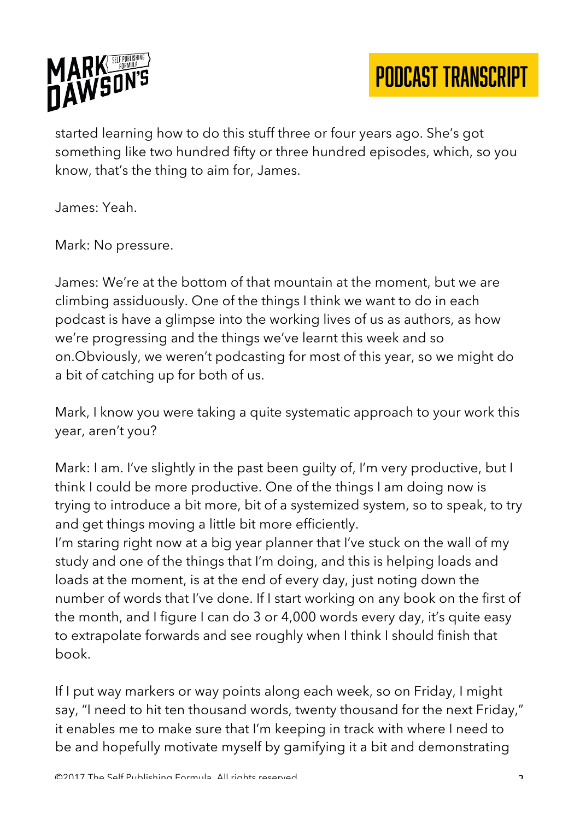

started learning how to do this stuff three or four years ago. She's got something like two hundred fifty or three hundred episodes, which, so you know, that's the thing to aim for, James.

James: Yeah.

Mark: No pressure.

James: We're at the bottom of that mountain at the moment, but we are climbing assiduously. One of the things I think we want to do in each podcast is have a glimpse into the working lives of us as authors, as how we're progressing and the things we've learnt this week and so on.Obviously, we weren't podcasting for most of this year, so we might do a bit of catching up for both of us.

Mark, I know you were taking a quite systematic approach to your work this year, aren't you?

Mark: I am. I've slightly in the past been guilty of, I'm very productive, but I think I could be more productive. One of the things I am doing now is trying to introduce a bit more, bit of a systemized system, so to speak, to try and get things moving a little bit more efficiently.

I'm staring right now at a big year planner that I've stuck on the wall of my study and one of the things that I'm doing, and this is helping loads and loads at the moment, is at the end of every day, just noting down the number of words that I've done. If I start working on any book on the first of the month, and I figure I can do 3 or 4,000 words every day, it's quite easy to extrapolate forwards and see roughly when I think I should finish that book.

If I put way markers or way points along each week, so on Friday, I might say, "I need to hit ten thousand words, twenty thousand for the next Friday," it enables me to make sure that I'm keeping in track with where I need to be and hopefully motivate myself by gamifying it a bit and demonstrating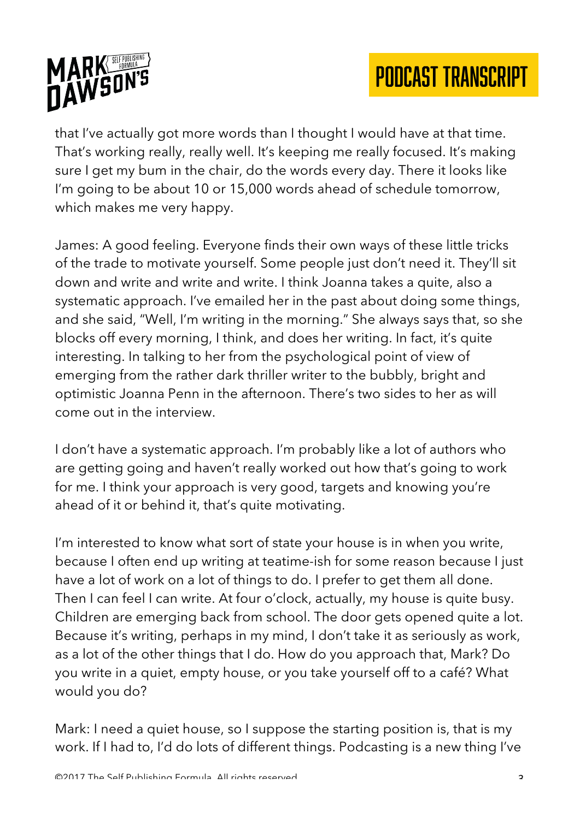

that I've actually got more words than I thought I would have at that time. That's working really, really well. It's keeping me really focused. It's making sure I get my bum in the chair, do the words every day. There it looks like I'm going to be about 10 or 15,000 words ahead of schedule tomorrow, which makes me very happy.

James: A good feeling. Everyone finds their own ways of these little tricks of the trade to motivate yourself. Some people just don't need it. They'll sit down and write and write and write. I think Joanna takes a quite, also a systematic approach. I've emailed her in the past about doing some things, and she said, "Well, I'm writing in the morning." She always says that, so she blocks off every morning, I think, and does her writing. In fact, it's quite interesting. In talking to her from the psychological point of view of emerging from the rather dark thriller writer to the bubbly, bright and optimistic Joanna Penn in the afternoon. There's two sides to her as will come out in the interview.

I don't have a systematic approach. I'm probably like a lot of authors who are getting going and haven't really worked out how that's going to work for me. I think your approach is very good, targets and knowing you're ahead of it or behind it, that's quite motivating.

I'm interested to know what sort of state your house is in when you write, because I often end up writing at teatime-ish for some reason because I just have a lot of work on a lot of things to do. I prefer to get them all done. Then I can feel I can write. At four o'clock, actually, my house is quite busy. Children are emerging back from school. The door gets opened quite a lot. Because it's writing, perhaps in my mind, I don't take it as seriously as work, as a lot of the other things that I do. How do you approach that, Mark? Do you write in a quiet, empty house, or you take yourself off to a café? What would you do?

Mark: I need a quiet house, so I suppose the starting position is, that is my work. If I had to, I'd do lots of different things. Podcasting is a new thing I've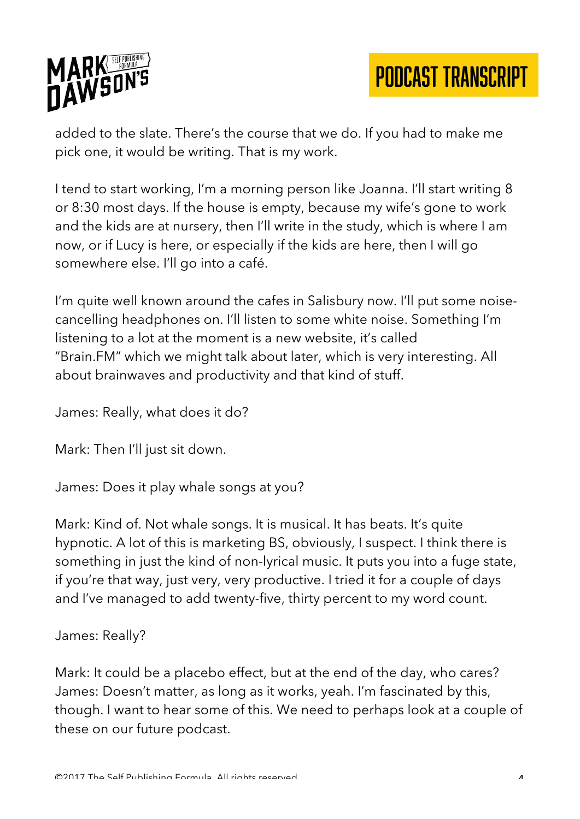

added to the slate. There's the course that we do. If you had to make me pick one, it would be writing. That is my work.

I tend to start working, I'm a morning person like Joanna. I'll start writing 8 or 8:30 most days. If the house is empty, because my wife's gone to work and the kids are at nursery, then I'll write in the study, which is where I am now, or if Lucy is here, or especially if the kids are here, then I will go somewhere else. I'll go into a café.

I'm quite well known around the cafes in Salisbury now. I'll put some noisecancelling headphones on. I'll listen to some white noise. Something I'm listening to a lot at the moment is a new website, it's called "Brain.FM" which we might talk about later, which is very interesting. All about brainwaves and productivity and that kind of stuff.

James: Really, what does it do?

Mark: Then I'll just sit down.

James: Does it play whale songs at you?

Mark: Kind of. Not whale songs. It is musical. It has beats. It's quite hypnotic. A lot of this is marketing BS, obviously, I suspect. I think there is something in just the kind of non-lyrical music. It puts you into a fuge state, if you're that way, just very, very productive. I tried it for a couple of days and I've managed to add twenty-five, thirty percent to my word count.

#### James: Really?

Mark: It could be a placebo effect, but at the end of the day, who cares? James: Doesn't matter, as long as it works, yeah. I'm fascinated by this, though. I want to hear some of this. We need to perhaps look at a couple of these on our future podcast.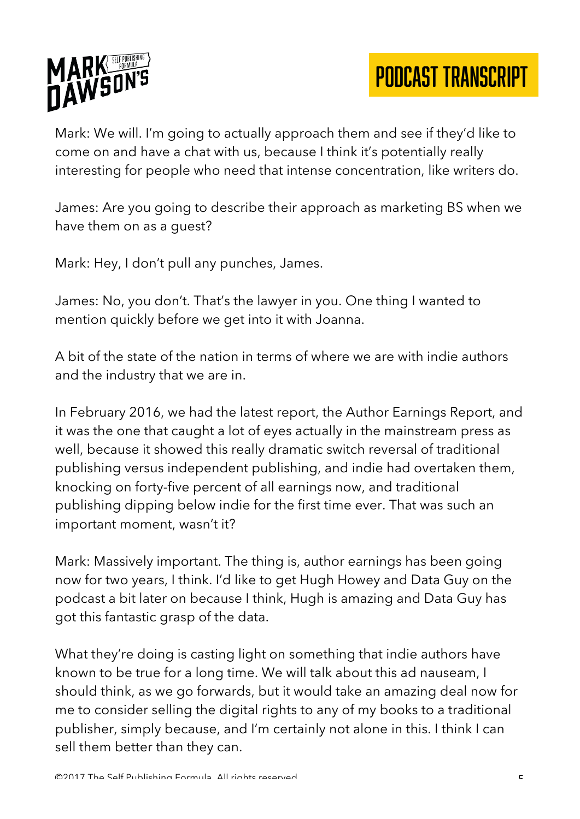

Mark: We will. I'm going to actually approach them and see if they'd like to come on and have a chat with us, because I think it's potentially really interesting for people who need that intense concentration, like writers do.

James: Are you going to describe their approach as marketing BS when we have them on as a guest?

Mark: Hey, I don't pull any punches, James.

James: No, you don't. That's the lawyer in you. One thing I wanted to mention quickly before we get into it with Joanna.

A bit of the state of the nation in terms of where we are with indie authors and the industry that we are in.

In February 2016, we had the latest report, the Author Earnings Report, and it was the one that caught a lot of eyes actually in the mainstream press as well, because it showed this really dramatic switch reversal of traditional publishing versus independent publishing, and indie had overtaken them, knocking on forty-five percent of all earnings now, and traditional publishing dipping below indie for the first time ever. That was such an important moment, wasn't it?

Mark: Massively important. The thing is, author earnings has been going now for two years, I think. I'd like to get Hugh Howey and Data Guy on the podcast a bit later on because I think, Hugh is amazing and Data Guy has got this fantastic grasp of the data.

What they're doing is casting light on something that indie authors have known to be true for a long time. We will talk about this ad nauseam, I should think, as we go forwards, but it would take an amazing deal now for me to consider selling the digital rights to any of my books to a traditional publisher, simply because, and I'm certainly not alone in this. I think I can sell them better than they can.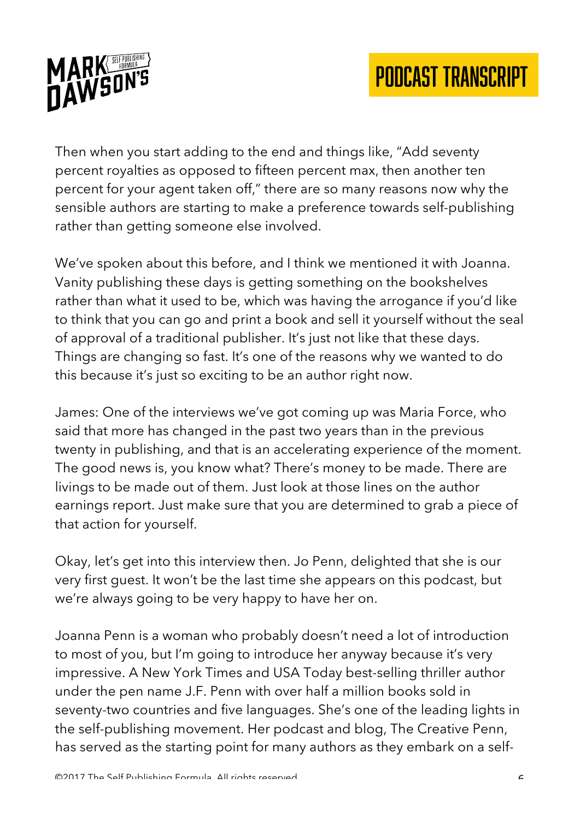

Then when you start adding to the end and things like, "Add seventy percent royalties as opposed to fifteen percent max, then another ten percent for your agent taken off," there are so many reasons now why the sensible authors are starting to make a preference towards self-publishing rather than getting someone else involved.

We've spoken about this before, and I think we mentioned it with Joanna. Vanity publishing these days is getting something on the bookshelves rather than what it used to be, which was having the arrogance if you'd like to think that you can go and print a book and sell it yourself without the seal of approval of a traditional publisher. It's just not like that these days. Things are changing so fast. It's one of the reasons why we wanted to do this because it's just so exciting to be an author right now.

James: One of the interviews we've got coming up was Maria Force, who said that more has changed in the past two years than in the previous twenty in publishing, and that is an accelerating experience of the moment. The good news is, you know what? There's money to be made. There are livings to be made out of them. Just look at those lines on the author earnings report. Just make sure that you are determined to grab a piece of that action for yourself.

Okay, let's get into this interview then. Jo Penn, delighted that she is our very first guest. It won't be the last time she appears on this podcast, but we're always going to be very happy to have her on.

Joanna Penn is a woman who probably doesn't need a lot of introduction to most of you, but I'm going to introduce her anyway because it's very impressive. A New York Times and USA Today best-selling thriller author under the pen name J.F. Penn with over half a million books sold in seventy-two countries and five languages. She's one of the leading lights in the self-publishing movement. Her podcast and blog, The Creative Penn, has served as the starting point for many authors as they embark on a self-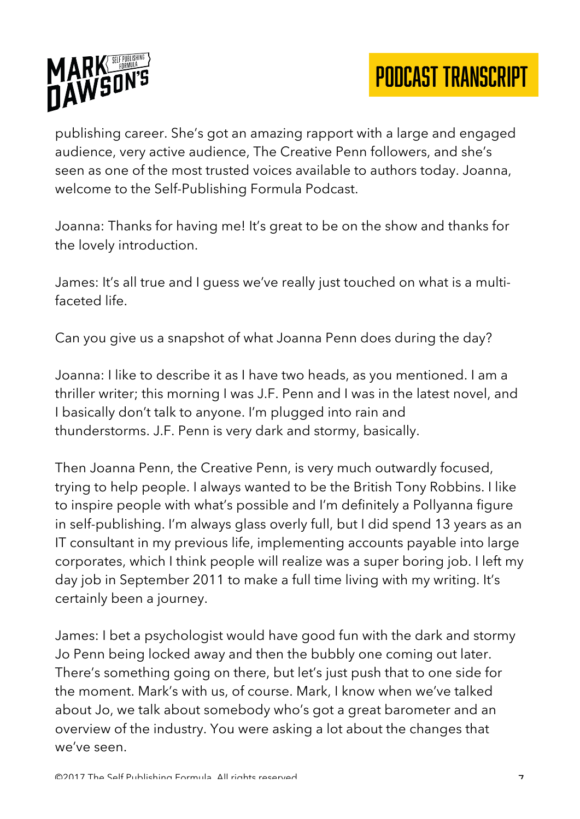

publishing career. She's got an amazing rapport with a large and engaged audience, very active audience, The Creative Penn followers, and she's seen as one of the most trusted voices available to authors today. Joanna, welcome to the Self-Publishing Formula Podcast.

Joanna: Thanks for having me! It's great to be on the show and thanks for the lovely introduction.

James: It's all true and I guess we've really just touched on what is a multifaceted life.

Can you give us a snapshot of what Joanna Penn does during the day?

Joanna: I like to describe it as I have two heads, as you mentioned. I am a thriller writer; this morning I was J.F. Penn and I was in the latest novel, and I basically don't talk to anyone. I'm plugged into rain and thunderstorms. J.F. Penn is very dark and stormy, basically.

Then Joanna Penn, the Creative Penn, is very much outwardly focused, trying to help people. I always wanted to be the British Tony Robbins. I like to inspire people with what's possible and I'm definitely a Pollyanna figure in self-publishing. I'm always glass overly full, but I did spend 13 years as an IT consultant in my previous life, implementing accounts payable into large corporates, which I think people will realize was a super boring job. I left my day job in September 2011 to make a full time living with my writing. It's certainly been a journey.

James: I bet a psychologist would have good fun with the dark and stormy Jo Penn being locked away and then the bubbly one coming out later. There's something going on there, but let's just push that to one side for the moment. Mark's with us, of course. Mark, I know when we've talked about Jo, we talk about somebody who's got a great barometer and an overview of the industry. You were asking a lot about the changes that we've seen.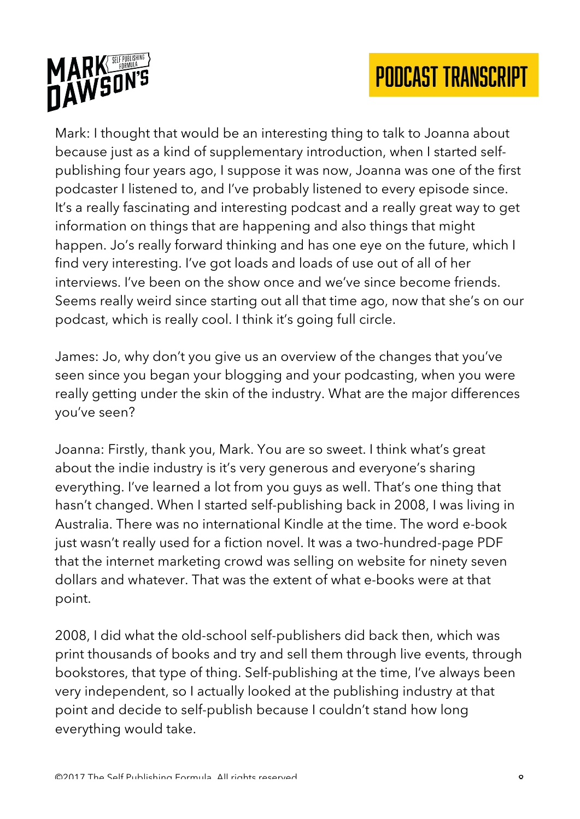

Mark: I thought that would be an interesting thing to talk to Joanna about because just as a kind of supplementary introduction, when I started selfpublishing four years ago, I suppose it was now, Joanna was one of the first podcaster I listened to, and I've probably listened to every episode since. It's a really fascinating and interesting podcast and a really great way to get information on things that are happening and also things that might happen. Jo's really forward thinking and has one eye on the future, which I find very interesting. I've got loads and loads of use out of all of her interviews. I've been on the show once and we've since become friends. Seems really weird since starting out all that time ago, now that she's on our podcast, which is really cool. I think it's going full circle.

James: Jo, why don't you give us an overview of the changes that you've seen since you began your blogging and your podcasting, when you were really getting under the skin of the industry. What are the major differences you've seen?

Joanna: Firstly, thank you, Mark. You are so sweet. I think what's great about the indie industry is it's very generous and everyone's sharing everything. I've learned a lot from you guys as well. That's one thing that hasn't changed. When I started self-publishing back in 2008, I was living in Australia. There was no international Kindle at the time. The word e-book just wasn't really used for a fiction novel. It was a two-hundred-page PDF that the internet marketing crowd was selling on website for ninety seven dollars and whatever. That was the extent of what e-books were at that point.

2008, I did what the old-school self-publishers did back then, which was print thousands of books and try and sell them through live events, through bookstores, that type of thing. Self-publishing at the time, I've always been very independent, so I actually looked at the publishing industry at that point and decide to self-publish because I couldn't stand how long everything would take.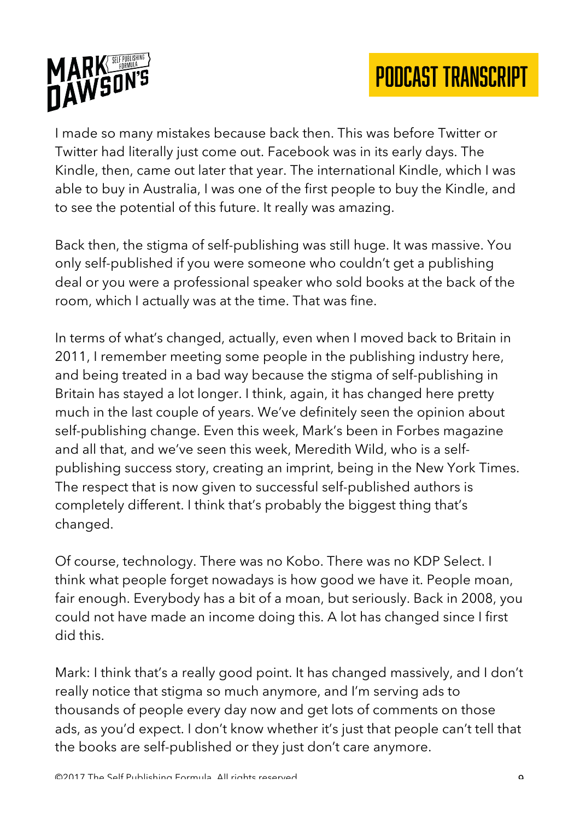

I made so many mistakes because back then. This was before Twitter or Twitter had literally just come out. Facebook was in its early days. The Kindle, then, came out later that year. The international Kindle, which I was able to buy in Australia, I was one of the first people to buy the Kindle, and to see the potential of this future. It really was amazing.

Back then, the stigma of self-publishing was still huge. It was massive. You only self-published if you were someone who couldn't get a publishing deal or you were a professional speaker who sold books at the back of the room, which I actually was at the time. That was fine.

In terms of what's changed, actually, even when I moved back to Britain in 2011, I remember meeting some people in the publishing industry here, and being treated in a bad way because the stigma of self-publishing in Britain has stayed a lot longer. I think, again, it has changed here pretty much in the last couple of years. We've definitely seen the opinion about self-publishing change. Even this week, Mark's been in Forbes magazine and all that, and we've seen this week, Meredith Wild, who is a selfpublishing success story, creating an imprint, being in the New York Times. The respect that is now given to successful self-published authors is completely different. I think that's probably the biggest thing that's changed.

Of course, technology. There was no Kobo. There was no KDP Select. I think what people forget nowadays is how good we have it. People moan, fair enough. Everybody has a bit of a moan, but seriously. Back in 2008, you could not have made an income doing this. A lot has changed since I first did this.

Mark: I think that's a really good point. It has changed massively, and I don't really notice that stigma so much anymore, and I'm serving ads to thousands of people every day now and get lots of comments on those ads, as you'd expect. I don't know whether it's just that people can't tell that the books are self-published or they just don't care anymore.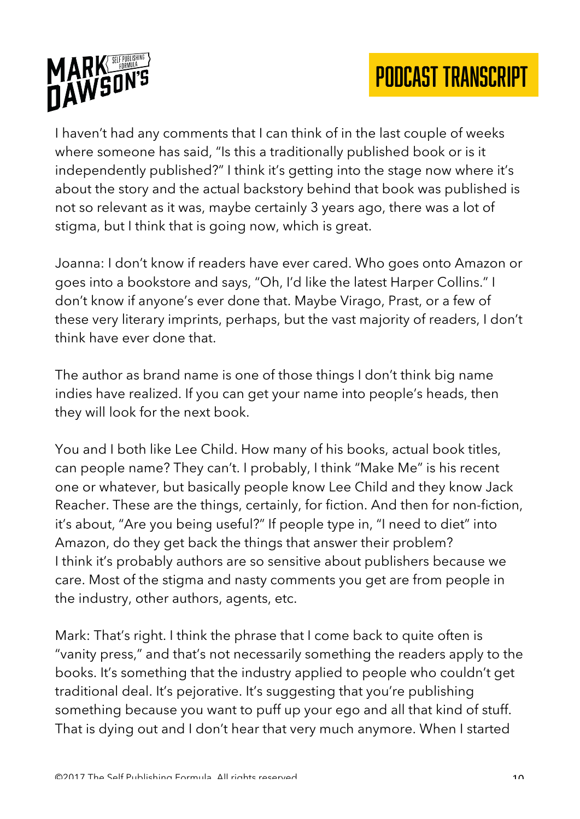



I haven't had any comments that I can think of in the last couple of weeks where someone has said, "Is this a traditionally published book or is it independently published?" I think it's getting into the stage now where it's about the story and the actual backstory behind that book was published is not so relevant as it was, maybe certainly 3 years ago, there was a lot of stigma, but I think that is going now, which is great.

Joanna: I don't know if readers have ever cared. Who goes onto Amazon or goes into a bookstore and says, "Oh, I'd like the latest Harper Collins." I don't know if anyone's ever done that. Maybe Virago, Prast, or a few of these very literary imprints, perhaps, but the vast majority of readers, I don't think have ever done that.

The author as brand name is one of those things I don't think big name indies have realized. If you can get your name into people's heads, then they will look for the next book.

You and I both like Lee Child. How many of his books, actual book titles, can people name? They can't. I probably, I think "Make Me" is his recent one or whatever, but basically people know Lee Child and they know Jack Reacher. These are the things, certainly, for fiction. And then for non-fiction, it's about, "Are you being useful?" If people type in, "I need to diet" into Amazon, do they get back the things that answer their problem? I think it's probably authors are so sensitive about publishers because we care. Most of the stigma and nasty comments you get are from people in the industry, other authors, agents, etc.

Mark: That's right. I think the phrase that I come back to quite often is "vanity press," and that's not necessarily something the readers apply to the books. It's something that the industry applied to people who couldn't get traditional deal. It's pejorative. It's suggesting that you're publishing something because you want to puff up your ego and all that kind of stuff. That is dying out and I don't hear that very much anymore. When I started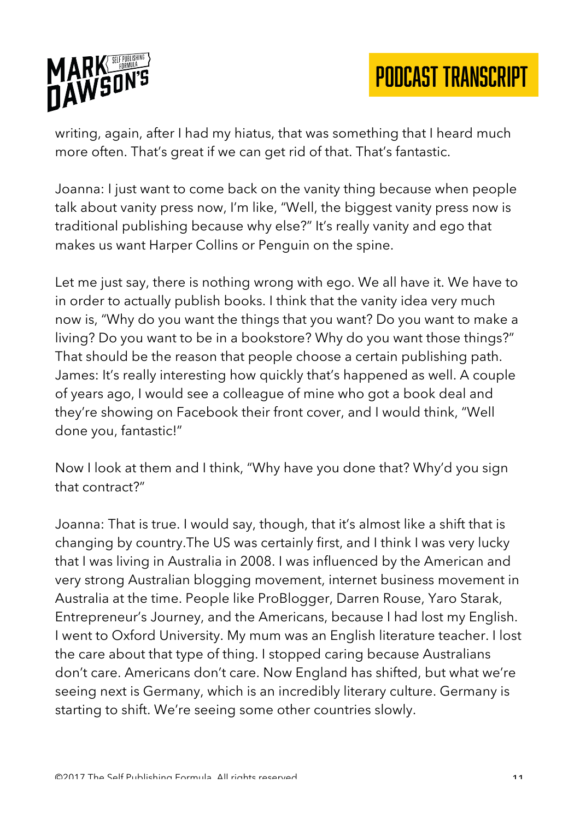

writing, again, after I had my hiatus, that was something that I heard much more often. That's great if we can get rid of that. That's fantastic.

Joanna: I just want to come back on the vanity thing because when people talk about vanity press now, I'm like, "Well, the biggest vanity press now is traditional publishing because why else?" It's really vanity and ego that makes us want Harper Collins or Penguin on the spine.

Let me just say, there is nothing wrong with ego. We all have it. We have to in order to actually publish books. I think that the vanity idea very much now is, "Why do you want the things that you want? Do you want to make a living? Do you want to be in a bookstore? Why do you want those things?" That should be the reason that people choose a certain publishing path. James: It's really interesting how quickly that's happened as well. A couple of years ago, I would see a colleague of mine who got a book deal and they're showing on Facebook their front cover, and I would think, "Well done you, fantastic!"

Now I look at them and I think, "Why have you done that? Why'd you sign that contract?"

Joanna: That is true. I would say, though, that it's almost like a shift that is changing by country.The US was certainly first, and I think I was very lucky that I was living in Australia in 2008. I was influenced by the American and very strong Australian blogging movement, internet business movement in Australia at the time. People like ProBlogger, Darren Rouse, Yaro Starak, Entrepreneur's Journey, and the Americans, because I had lost my English. I went to Oxford University. My mum was an English literature teacher. I lost the care about that type of thing. I stopped caring because Australians don't care. Americans don't care. Now England has shifted, but what we're seeing next is Germany, which is an incredibly literary culture. Germany is starting to shift. We're seeing some other countries slowly.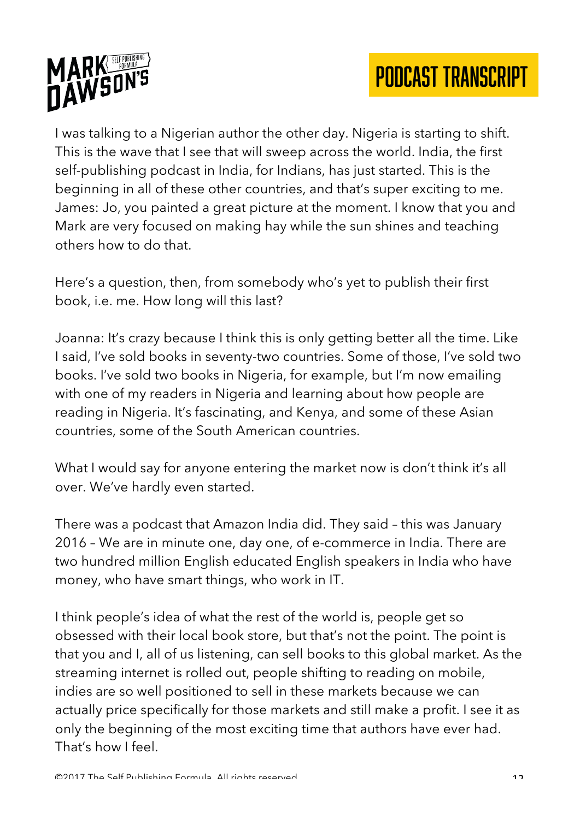



I was talking to a Nigerian author the other day. Nigeria is starting to shift. This is the wave that I see that will sweep across the world. India, the first self-publishing podcast in India, for Indians, has just started. This is the beginning in all of these other countries, and that's super exciting to me. James: Jo, you painted a great picture at the moment. I know that you and Mark are very focused on making hay while the sun shines and teaching others how to do that.

Here's a question, then, from somebody who's yet to publish their first book, i.e. me. How long will this last?

Joanna: It's crazy because I think this is only getting better all the time. Like I said, I've sold books in seventy-two countries. Some of those, I've sold two books. I've sold two books in Nigeria, for example, but I'm now emailing with one of my readers in Nigeria and learning about how people are reading in Nigeria. It's fascinating, and Kenya, and some of these Asian countries, some of the South American countries.

What I would say for anyone entering the market now is don't think it's all over. We've hardly even started.

There was a podcast that Amazon India did. They said – this was January 2016 – We are in minute one, day one, of e-commerce in India. There are two hundred million English educated English speakers in India who have money, who have smart things, who work in IT.

I think people's idea of what the rest of the world is, people get so obsessed with their local book store, but that's not the point. The point is that you and I, all of us listening, can sell books to this global market. As the streaming internet is rolled out, people shifting to reading on mobile, indies are so well positioned to sell in these markets because we can actually price specifically for those markets and still make a profit. I see it as only the beginning of the most exciting time that authors have ever had. That's how I feel.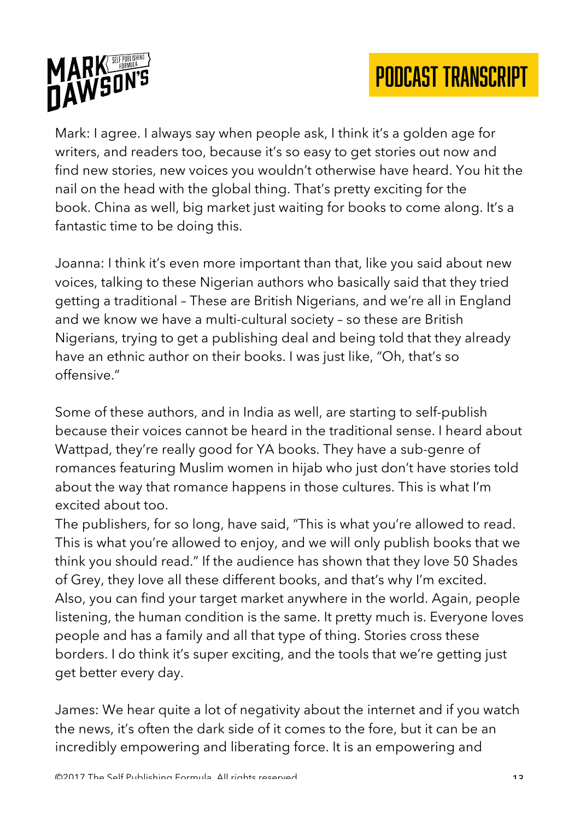



Mark: I agree. I always say when people ask, I think it's a golden age for writers, and readers too, because it's so easy to get stories out now and find new stories, new voices you wouldn't otherwise have heard. You hit the nail on the head with the global thing. That's pretty exciting for the book. China as well, big market just waiting for books to come along. It's a fantastic time to be doing this.

Joanna: I think it's even more important than that, like you said about new voices, talking to these Nigerian authors who basically said that they tried getting a traditional – These are British Nigerians, and we're all in England and we know we have a multi-cultural society – so these are British Nigerians, trying to get a publishing deal and being told that they already have an ethnic author on their books. I was just like, "Oh, that's so offensive."

Some of these authors, and in India as well, are starting to self-publish because their voices cannot be heard in the traditional sense. I heard about Wattpad, they're really good for YA books. They have a sub-genre of romances featuring Muslim women in hijab who just don't have stories told about the way that romance happens in those cultures. This is what I'm excited about too.

The publishers, for so long, have said, "This is what you're allowed to read. This is what you're allowed to enjoy, and we will only publish books that we think you should read." If the audience has shown that they love 50 Shades of Grey, they love all these different books, and that's why I'm excited. Also, you can find your target market anywhere in the world. Again, people listening, the human condition is the same. It pretty much is. Everyone loves people and has a family and all that type of thing. Stories cross these borders. I do think it's super exciting, and the tools that we're getting just get better every day.

James: We hear quite a lot of negativity about the internet and if you watch the news, it's often the dark side of it comes to the fore, but it can be an incredibly empowering and liberating force. It is an empowering and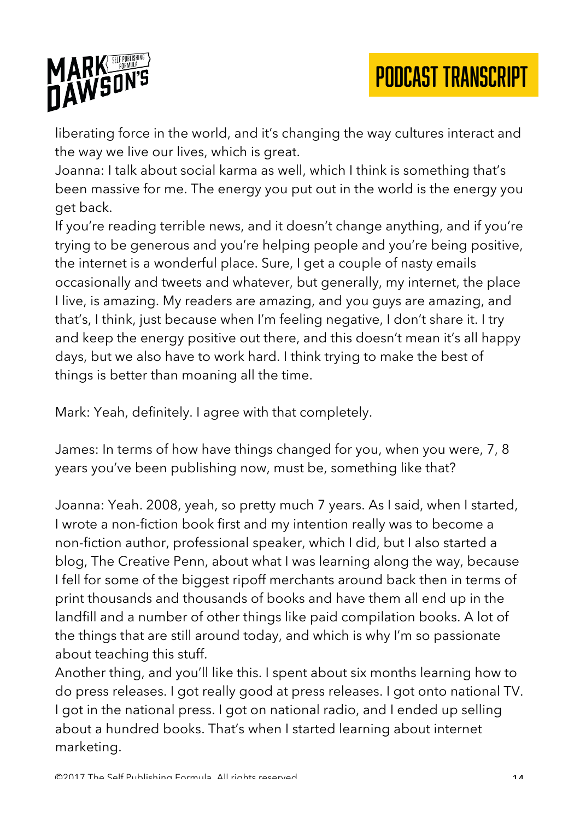# MARK

liberating force in the world, and it's changing the way cultures interact and the way we live our lives, which is great.

Joanna: I talk about social karma as well, which I think is something that's been massive for me. The energy you put out in the world is the energy you get back.

If you're reading terrible news, and it doesn't change anything, and if you're trying to be generous and you're helping people and you're being positive, the internet is a wonderful place. Sure, I get a couple of nasty emails occasionally and tweets and whatever, but generally, my internet, the place I live, is amazing. My readers are amazing, and you guys are amazing, and that's, I think, just because when I'm feeling negative, I don't share it. I try and keep the energy positive out there, and this doesn't mean it's all happy days, but we also have to work hard. I think trying to make the best of things is better than moaning all the time.

Mark: Yeah, definitely. I agree with that completely.

James: In terms of how have things changed for you, when you were, 7, 8 years you've been publishing now, must be, something like that?

Joanna: Yeah. 2008, yeah, so pretty much 7 years. As I said, when I started, I wrote a non-fiction book first and my intention really was to become a non-fiction author, professional speaker, which I did, but I also started a blog, The Creative Penn, about what I was learning along the way, because I fell for some of the biggest ripoff merchants around back then in terms of print thousands and thousands of books and have them all end up in the landfill and a number of other things like paid compilation books. A lot of the things that are still around today, and which is why I'm so passionate about teaching this stuff.

Another thing, and you'll like this. I spent about six months learning how to do press releases. I got really good at press releases. I got onto national TV. I got in the national press. I got on national radio, and I ended up selling about a hundred books. That's when I started learning about internet marketing.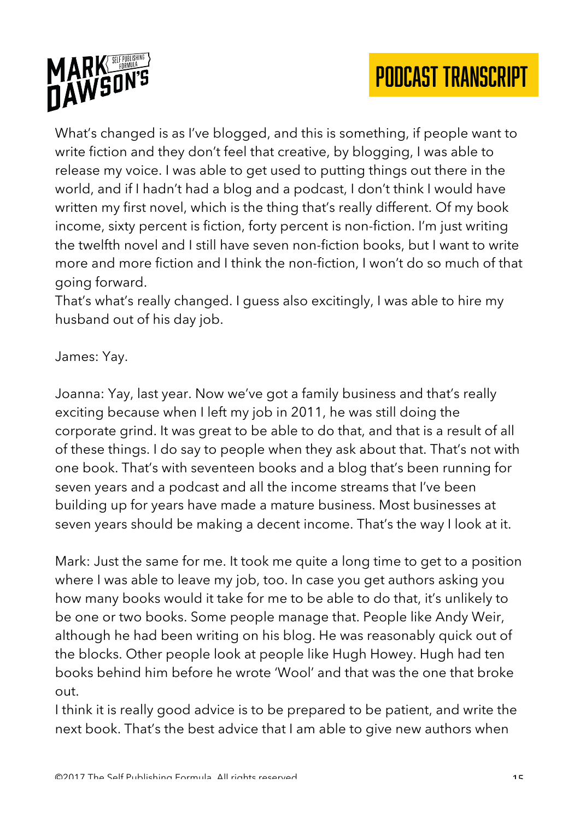



What's changed is as I've blogged, and this is something, if people want to write fiction and they don't feel that creative, by blogging, I was able to release my voice. I was able to get used to putting things out there in the world, and if I hadn't had a blog and a podcast, I don't think I would have written my first novel, which is the thing that's really different. Of my book income, sixty percent is fiction, forty percent is non-fiction. I'm just writing the twelfth novel and I still have seven non-fiction books, but I want to write more and more fiction and I think the non-fiction, I won't do so much of that going forward.

That's what's really changed. I guess also excitingly, I was able to hire my husband out of his day job.

### James: Yay.

Joanna: Yay, last year. Now we've got a family business and that's really exciting because when I left my job in 2011, he was still doing the corporate grind. It was great to be able to do that, and that is a result of all of these things. I do say to people when they ask about that. That's not with one book. That's with seventeen books and a blog that's been running for seven years and a podcast and all the income streams that I've been building up for years have made a mature business. Most businesses at seven years should be making a decent income. That's the way I look at it.

Mark: Just the same for me. It took me quite a long time to get to a position where I was able to leave my job, too. In case you get authors asking you how many books would it take for me to be able to do that, it's unlikely to be one or two books. Some people manage that. People like Andy Weir, although he had been writing on his blog. He was reasonably quick out of the blocks. Other people look at people like Hugh Howey. Hugh had ten books behind him before he wrote 'Wool' and that was the one that broke out.

I think it is really good advice is to be prepared to be patient, and write the next book. That's the best advice that I am able to give new authors when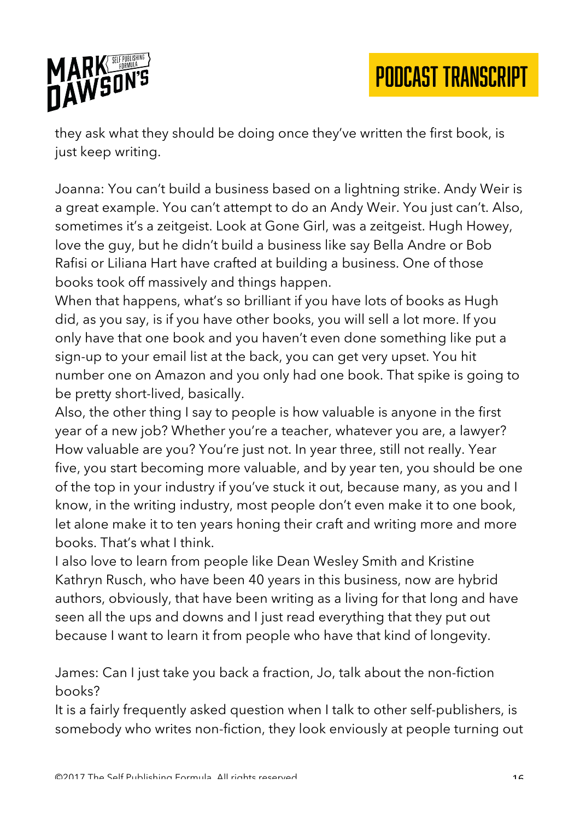

they ask what they should be doing once they've written the first book, is just keep writing.

Joanna: You can't build a business based on a lightning strike. Andy Weir is a great example. You can't attempt to do an Andy Weir. You just can't. Also, sometimes it's a zeitgeist. Look at Gone Girl, was a zeitgeist. Hugh Howey, love the guy, but he didn't build a business like say Bella Andre or Bob Rafisi or Liliana Hart have crafted at building a business. One of those books took off massively and things happen.

When that happens, what's so brilliant if you have lots of books as Hugh did, as you say, is if you have other books, you will sell a lot more. If you only have that one book and you haven't even done something like put a sign-up to your email list at the back, you can get very upset. You hit number one on Amazon and you only had one book. That spike is going to be pretty short-lived, basically.

Also, the other thing I say to people is how valuable is anyone in the first year of a new job? Whether you're a teacher, whatever you are, a lawyer? How valuable are you? You're just not. In year three, still not really. Year five, you start becoming more valuable, and by year ten, you should be one of the top in your industry if you've stuck it out, because many, as you and I know, in the writing industry, most people don't even make it to one book, let alone make it to ten years honing their craft and writing more and more books. That's what I think.

I also love to learn from people like Dean Wesley Smith and Kristine Kathryn Rusch, who have been 40 years in this business, now are hybrid authors, obviously, that have been writing as a living for that long and have seen all the ups and downs and I just read everything that they put out because I want to learn it from people who have that kind of longevity.

James: Can I just take you back a fraction, Jo, talk about the non-fiction books?

It is a fairly frequently asked question when I talk to other self-publishers, is somebody who writes non-fiction, they look enviously at people turning out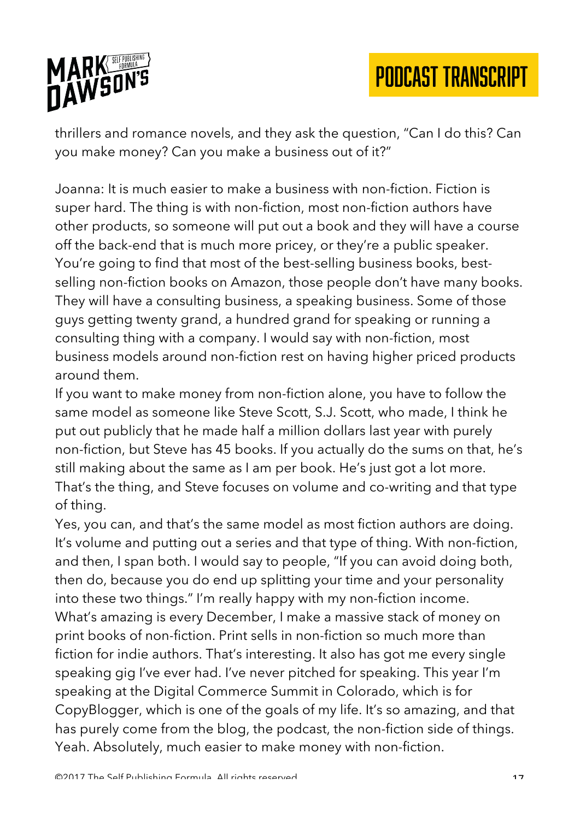

thrillers and romance novels, and they ask the question, "Can I do this? Can you make money? Can you make a business out of it?"

Joanna: It is much easier to make a business with non-fiction. Fiction is super hard. The thing is with non-fiction, most non-fiction authors have other products, so someone will put out a book and they will have a course off the back-end that is much more pricey, or they're a public speaker. You're going to find that most of the best-selling business books, bestselling non-fiction books on Amazon, those people don't have many books. They will have a consulting business, a speaking business. Some of those guys getting twenty grand, a hundred grand for speaking or running a consulting thing with a company. I would say with non-fiction, most business models around non-fiction rest on having higher priced products around them.

If you want to make money from non-fiction alone, you have to follow the same model as someone like Steve Scott, S.J. Scott, who made, I think he put out publicly that he made half a million dollars last year with purely non-fiction, but Steve has 45 books. If you actually do the sums on that, he's still making about the same as I am per book. He's just got a lot more. That's the thing, and Steve focuses on volume and co-writing and that type of thing.

Yes, you can, and that's the same model as most fiction authors are doing. It's volume and putting out a series and that type of thing. With non-fiction, and then, I span both. I would say to people, "If you can avoid doing both, then do, because you do end up splitting your time and your personality into these two things." I'm really happy with my non-fiction income. What's amazing is every December, I make a massive stack of money on print books of non-fiction. Print sells in non-fiction so much more than fiction for indie authors. That's interesting. It also has got me every single speaking gig I've ever had. I've never pitched for speaking. This year I'm speaking at the Digital Commerce Summit in Colorado, which is for CopyBlogger, which is one of the goals of my life. It's so amazing, and that has purely come from the blog, the podcast, the non-fiction side of things. Yeah. Absolutely, much easier to make money with non-fiction.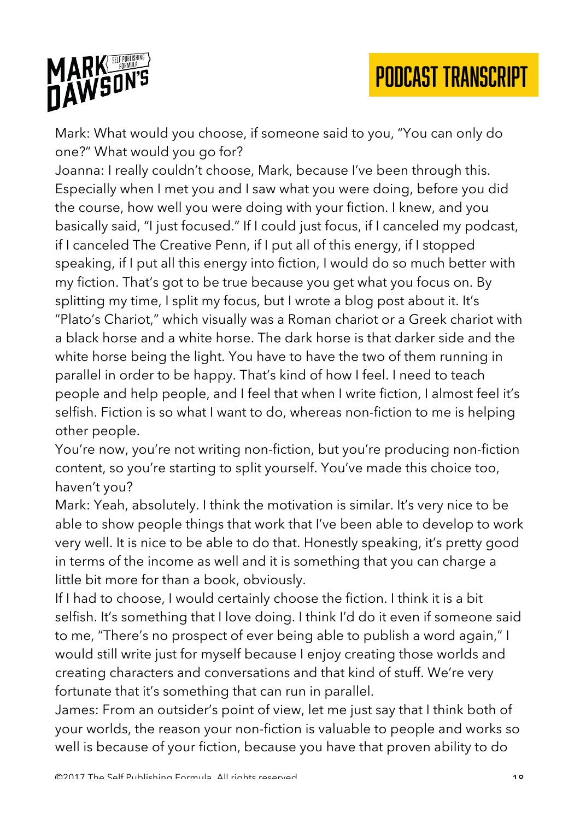



Mark: What would you choose, if someone said to you, "You can only do one?" What would you go for?

Joanna: I really couldn't choose, Mark, because I've been through this. Especially when I met you and I saw what you were doing, before you did the course, how well you were doing with your fiction. I knew, and you basically said, "I just focused." If I could just focus, if I canceled my podcast, if I canceled The Creative Penn, if I put all of this energy, if I stopped speaking, if I put all this energy into fiction, I would do so much better with my fiction. That's got to be true because you get what you focus on. By splitting my time, I split my focus, but I wrote a blog post about it. It's "Plato's Chariot," which visually was a Roman chariot or a Greek chariot with a black horse and a white horse. The dark horse is that darker side and the white horse being the light. You have to have the two of them running in parallel in order to be happy. That's kind of how I feel. I need to teach people and help people, and I feel that when I write fiction, I almost feel it's selfish. Fiction is so what I want to do, whereas non-fiction to me is helping other people.

You're now, you're not writing non-fiction, but you're producing non-fiction content, so you're starting to split yourself. You've made this choice too, haven't you?

Mark: Yeah, absolutely. I think the motivation is similar. It's very nice to be able to show people things that work that I've been able to develop to work very well. It is nice to be able to do that. Honestly speaking, it's pretty good in terms of the income as well and it is something that you can charge a little bit more for than a book, obviously.

If I had to choose, I would certainly choose the fiction. I think it is a bit selfish. It's something that I love doing. I think I'd do it even if someone said to me, "There's no prospect of ever being able to publish a word again," I would still write just for myself because I enjoy creating those worlds and creating characters and conversations and that kind of stuff. We're very fortunate that it's something that can run in parallel.

James: From an outsider's point of view, let me just say that I think both of your worlds, the reason your non-fiction is valuable to people and works so well is because of your fiction, because you have that proven ability to do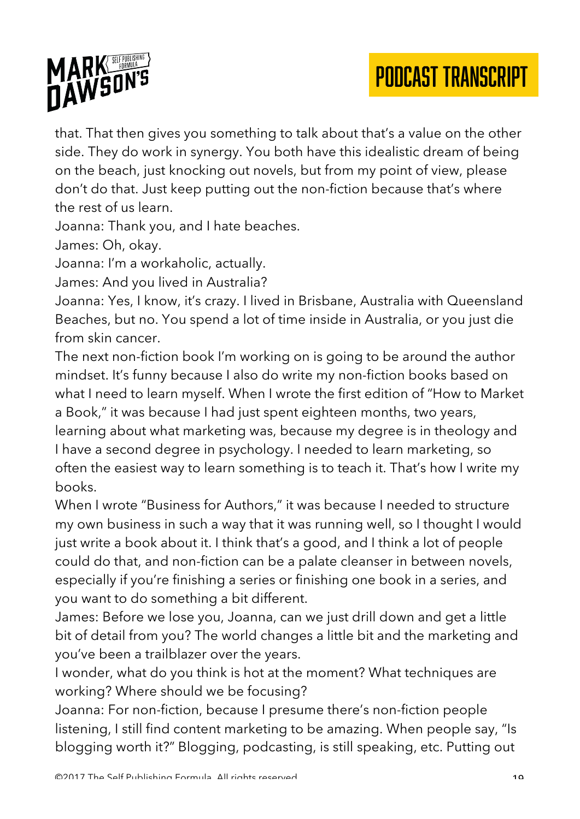

that. That then gives you something to talk about that's a value on the other side. They do work in synergy. You both have this idealistic dream of being on the beach, just knocking out novels, but from my point of view, please don't do that. Just keep putting out the non-fiction because that's where the rest of us learn.

Joanna: Thank you, and I hate beaches.

James: Oh, okay.

Joanna: I'm a workaholic, actually.

James: And you lived in Australia?

Joanna: Yes, I know, it's crazy. I lived in Brisbane, Australia with Queensland Beaches, but no. You spend a lot of time inside in Australia, or you just die from skin cancer.

The next non-fiction book I'm working on is going to be around the author mindset. It's funny because I also do write my non-fiction books based on what I need to learn myself. When I wrote the first edition of "How to Market a Book," it was because I had just spent eighteen months, two years, learning about what marketing was, because my degree is in theology and I have a second degree in psychology. I needed to learn marketing, so often the easiest way to learn something is to teach it. That's how I write my books.

When I wrote "Business for Authors," it was because I needed to structure my own business in such a way that it was running well, so I thought I would just write a book about it. I think that's a good, and I think a lot of people could do that, and non-fiction can be a palate cleanser in between novels, especially if you're finishing a series or finishing one book in a series, and you want to do something a bit different.

James: Before we lose you, Joanna, can we just drill down and get a little bit of detail from you? The world changes a little bit and the marketing and you've been a trailblazer over the years.

I wonder, what do you think is hot at the moment? What techniques are working? Where should we be focusing?

Joanna: For non-fiction, because I presume there's non-fiction people listening, I still find content marketing to be amazing. When people say, "Is blogging worth it?" Blogging, podcasting, is still speaking, etc. Putting out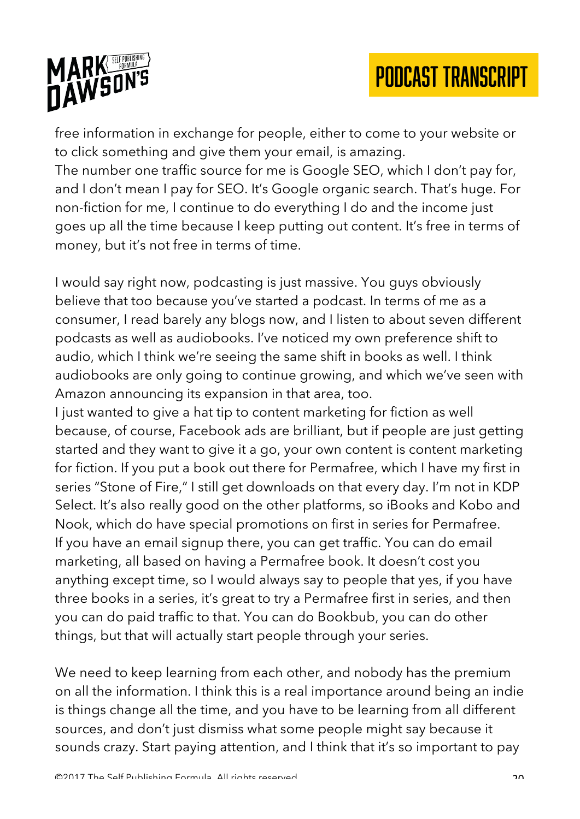



free information in exchange for people, either to come to your website or to click something and give them your email, is amazing.

The number one traffic source for me is Google SEO, which I don't pay for, and I don't mean I pay for SEO. It's Google organic search. That's huge. For non-fiction for me, I continue to do everything I do and the income just goes up all the time because I keep putting out content. It's free in terms of money, but it's not free in terms of time.

I would say right now, podcasting is just massive. You guys obviously believe that too because you've started a podcast. In terms of me as a consumer, I read barely any blogs now, and I listen to about seven different podcasts as well as audiobooks. I've noticed my own preference shift to audio, which I think we're seeing the same shift in books as well. I think audiobooks are only going to continue growing, and which we've seen with Amazon announcing its expansion in that area, too.

I just wanted to give a hat tip to content marketing for fiction as well because, of course, Facebook ads are brilliant, but if people are just getting started and they want to give it a go, your own content is content marketing for fiction. If you put a book out there for Permafree, which I have my first in series "Stone of Fire," I still get downloads on that every day. I'm not in KDP Select. It's also really good on the other platforms, so iBooks and Kobo and Nook, which do have special promotions on first in series for Permafree. If you have an email signup there, you can get traffic. You can do email marketing, all based on having a Permafree book. It doesn't cost you anything except time, so I would always say to people that yes, if you have three books in a series, it's great to try a Permafree first in series, and then you can do paid traffic to that. You can do Bookbub, you can do other things, but that will actually start people through your series.

We need to keep learning from each other, and nobody has the premium on all the information. I think this is a real importance around being an indie is things change all the time, and you have to be learning from all different sources, and don't just dismiss what some people might say because it sounds crazy. Start paying attention, and I think that it's so important to pay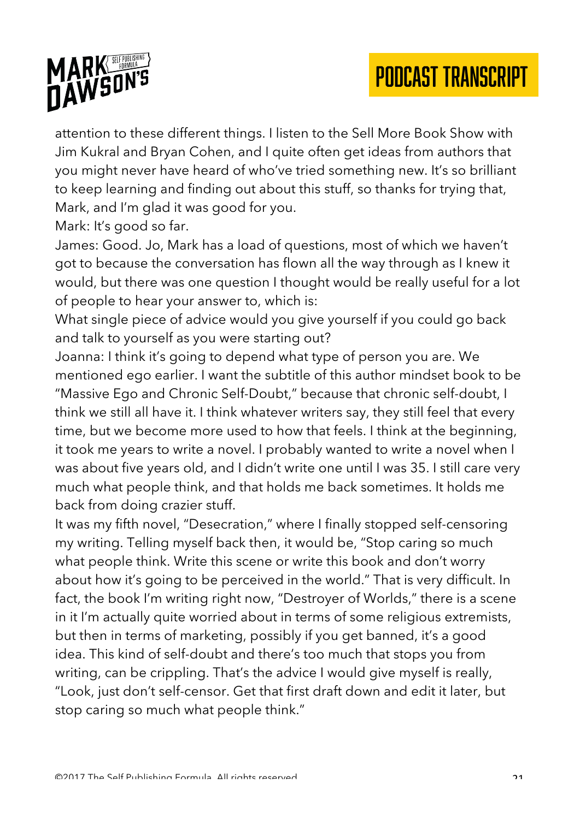

attention to these different things. I listen to the Sell More Book Show with Jim Kukral and Bryan Cohen, and I quite often get ideas from authors that you might never have heard of who've tried something new. It's so brilliant to keep learning and finding out about this stuff, so thanks for trying that, Mark, and I'm glad it was good for you.

Mark: It's good so far.

James: Good. Jo, Mark has a load of questions, most of which we haven't got to because the conversation has flown all the way through as I knew it would, but there was one question I thought would be really useful for a lot of people to hear your answer to, which is:

What single piece of advice would you give yourself if you could go back and talk to yourself as you were starting out?

Joanna: I think it's going to depend what type of person you are. We mentioned ego earlier. I want the subtitle of this author mindset book to be "Massive Ego and Chronic Self-Doubt," because that chronic self-doubt, I think we still all have it. I think whatever writers say, they still feel that every time, but we become more used to how that feels. I think at the beginning, it took me years to write a novel. I probably wanted to write a novel when I was about five years old, and I didn't write one until I was 35. I still care very much what people think, and that holds me back sometimes. It holds me back from doing crazier stuff.

It was my fifth novel, "Desecration," where I finally stopped self-censoring my writing. Telling myself back then, it would be, "Stop caring so much what people think. Write this scene or write this book and don't worry about how it's going to be perceived in the world." That is very difficult. In fact, the book I'm writing right now, "Destroyer of Worlds," there is a scene in it I'm actually quite worried about in terms of some religious extremists, but then in terms of marketing, possibly if you get banned, it's a good idea. This kind of self-doubt and there's too much that stops you from writing, can be crippling. That's the advice I would give myself is really, "Look, just don't self-censor. Get that first draft down and edit it later, but stop caring so much what people think."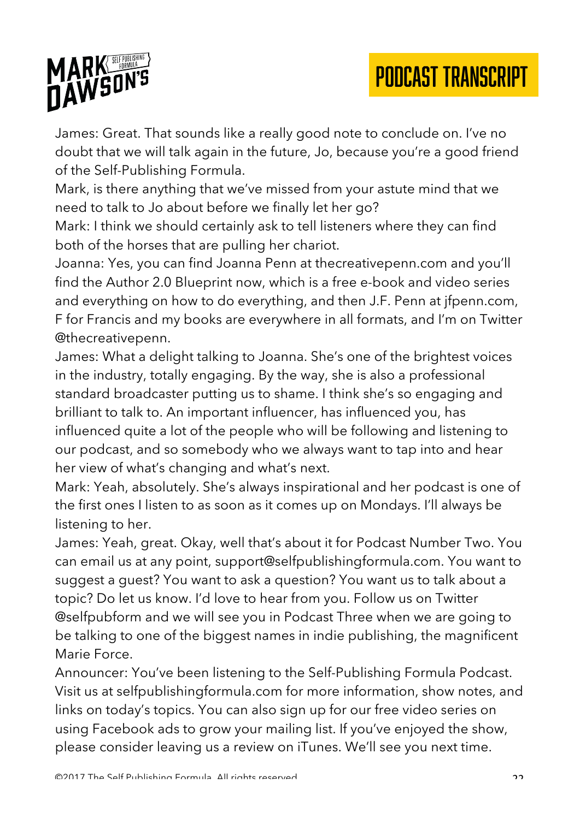

James: Great. That sounds like a really good note to conclude on. I've no doubt that we will talk again in the future, Jo, because you're a good friend of the Self-Publishing Formula.

Mark, is there anything that we've missed from your astute mind that we need to talk to Jo about before we finally let her go?

Mark: I think we should certainly ask to tell listeners where they can find both of the horses that are pulling her chariot.

Joanna: Yes, you can find Joanna Penn at thecreativepenn.com and you'll find the Author 2.0 Blueprint now, which is a free e-book and video series and everything on how to do everything, and then J.F. Penn at jfpenn.com, F for Francis and my books are everywhere in all formats, and I'm on Twitter @thecreativepenn.

James: What a delight talking to Joanna. She's one of the brightest voices in the industry, totally engaging. By the way, she is also a professional standard broadcaster putting us to shame. I think she's so engaging and brilliant to talk to. An important influencer, has influenced you, has influenced quite a lot of the people who will be following and listening to our podcast, and so somebody who we always want to tap into and hear her view of what's changing and what's next.

Mark: Yeah, absolutely. She's always inspirational and her podcast is one of the first ones I listen to as soon as it comes up on Mondays. I'll always be listening to her.

James: Yeah, great. Okay, well that's about it for Podcast Number Two. You can email us at any point, support@selfpublishingformula.com. You want to suggest a guest? You want to ask a question? You want us to talk about a topic? Do let us know. I'd love to hear from you. Follow us on Twitter @selfpubform and we will see you in Podcast Three when we are going to be talking to one of the biggest names in indie publishing, the magnificent Marie Force.

Announcer: You've been listening to the Self-Publishing Formula Podcast. Visit us at selfpublishingformula.com for more information, show notes, and links on today's topics. You can also sign up for our free video series on using Facebook ads to grow your mailing list. If you've enjoyed the show, please consider leaving us a review on iTunes. We'll see you next time.